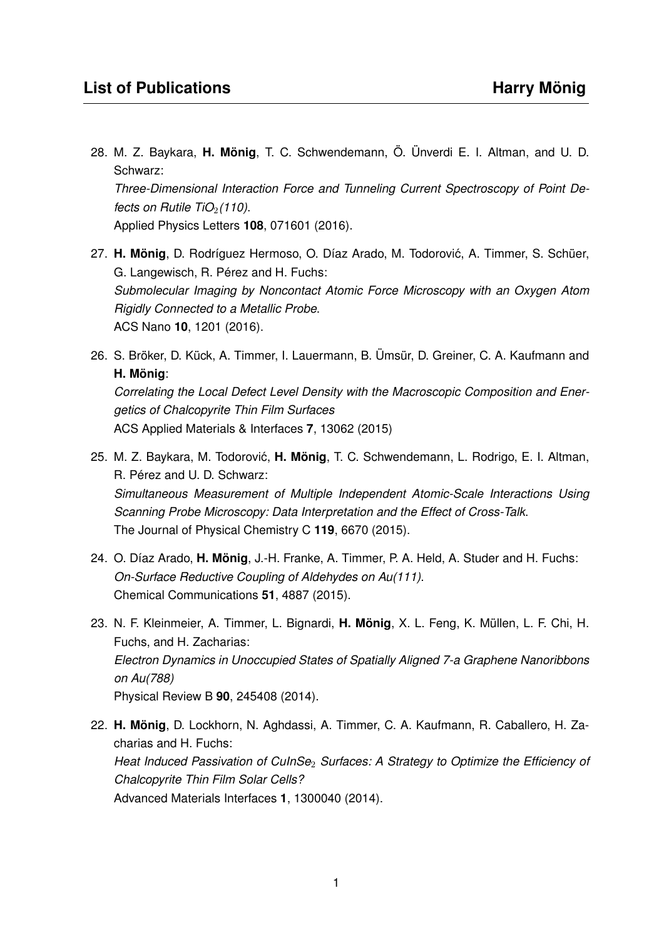- 28. M. Z. Baykara, **H. Mönig**, T. C. Schwendemann, Ö. Ünverdi E. I. Altman, and U. D. Schwarz: *Three-Dimensional Interaction Force and Tunneling Current Spectroscopy of Point Defects on Rutile TiO<sub>2</sub>*(110). Applied Physics Letters **108**, 071601 (2016).
- 27. **H. Mönig**, D. Rodríguez Hermoso, O. Díaz Arado, M. Todorovic, A. Timmer, S. Schüer, ´ G. Langewisch, R. Pérez and H. Fuchs: *Submolecular Imaging by Noncontact Atomic Force Microscopy with an Oxygen Atom Rigidly Connected to a Metallic Probe*. ACS Nano **10**, 1201 (2016).
- 26. S. Bröker, D. Kück, A. Timmer, I. Lauermann, B. Ümsür, D. Greiner, C. A. Kaufmann and **H. Mönig**:

*Correlating the Local Defect Level Density with the Macroscopic Composition and Energetics of Chalcopyrite Thin Film Surfaces* ACS Applied Materials & Interfaces **7**, 13062 (2015)

- 25. M. Z. Baykara, M. Todorović, H. Mönig, T. C. Schwendemann, L. Rodrigo, E. I. Altman, R. Pérez and U. D. Schwarz: *Simultaneous Measurement of Multiple Independent Atomic-Scale Interactions Using Scanning Probe Microscopy: Data Interpretation and the Effect of Cross-Talk*. The Journal of Physical Chemistry C **119**, 6670 (2015).
- 24. O. Díaz Arado, **H. Mönig**, J.-H. Franke, A. Timmer, P. A. Held, A. Studer and H. Fuchs: *On-Surface Reductive Coupling of Aldehydes on Au(111)*. Chemical Communications **51**, 4887 (2015).
- 23. N. F. Kleinmeier, A. Timmer, L. Bignardi, **H. Mönig**, X. L. Feng, K. Müllen, L. F. Chi, H. Fuchs, and H. Zacharias: *Electron Dynamics in Unoccupied States of Spatially Aligned 7-a Graphene Nanoribbons on Au(788)* Physical Review B **90**, 245408 (2014).
- 22. **H. Mönig**, D. Lockhorn, N. Aghdassi, A. Timmer, C. A. Kaufmann, R. Caballero, H. Zacharias and H. Fuchs: *Heat Induced Passivation of CuInSe*<sup>2</sup> *Surfaces: A Strategy to Optimize the Efficiency of Chalcopyrite Thin Film Solar Cells?* Advanced Materials Interfaces **1**, 1300040 (2014).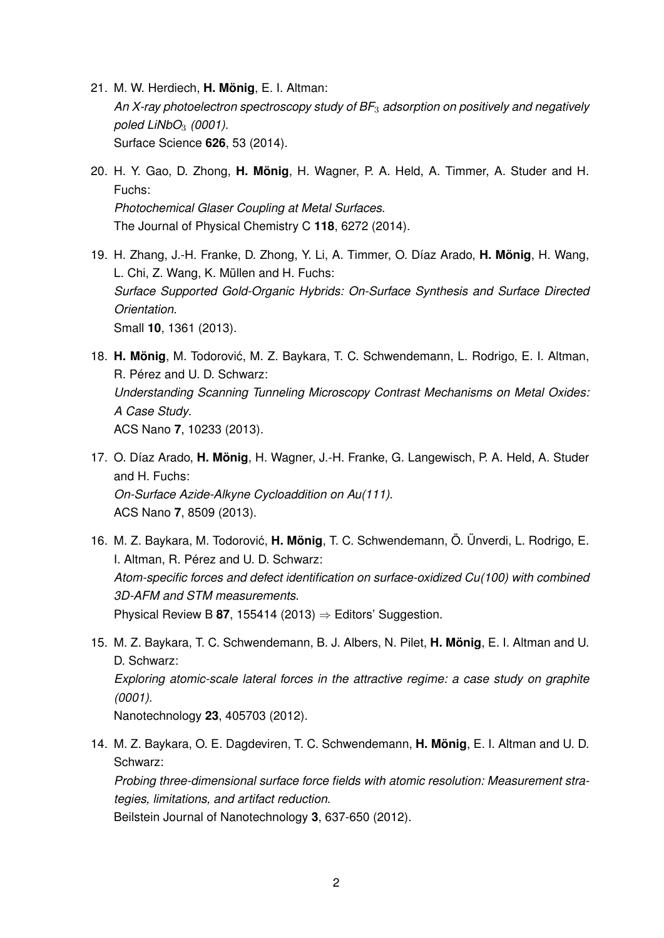- 21. M. W. Herdiech, **H. Mönig**, E. I. Altman: *An X-ray photoelectron spectroscopy study of BF*<sup>3</sup> *adsorption on positively and negatively poled LiNbO*<sup>3</sup> *(0001)*. Surface Science **626**, 53 (2014).
- 20. H. Y. Gao, D. Zhong, **H. Mönig**, H. Wagner, P. A. Held, A. Timmer, A. Studer and H. Fuchs: *Photochemical Glaser Coupling at Metal Surfaces*. The Journal of Physical Chemistry C **118**, 6272 (2014).
- 19. H. Zhang, J.-H. Franke, D. Zhong, Y. Li, A. Timmer, O. Díaz Arado, **H. Mönig**, H. Wang, L. Chi, Z. Wang, K. Müllen and H. Fuchs: *Surface Supported Gold-Organic Hybrids: On-Surface Synthesis and Surface Directed Orientation*. Small **10**, 1361 (2013).
- 18. H. Mönig, M. Todorović, M. Z. Baykara, T. C. Schwendemann, L. Rodrigo, E. I. Altman, R. Pérez and U. D. Schwarz: *Understanding Scanning Tunneling Microscopy Contrast Mechanisms on Metal Oxides: A Case Study*. ACS Nano **7**, 10233 (2013).
- 17. O. Díaz Arado, **H. Mönig**, H. Wagner, J.-H. Franke, G. Langewisch, P. A. Held, A. Studer and H. Fuchs: *On-Surface Azide-Alkyne Cycloaddition on Au(111)*. ACS Nano **7**, 8509 (2013).
- 16. M. Z. Baykara, M. Todorović, H. Mönig, T. C. Schwendemann, Ö. Ünverdi, L. Rodrigo, E. I. Altman, R. Pérez and U. D. Schwarz: *Atom-specific forces and defect identification on surface-oxidized Cu(100) with combined 3D-AFM and STM measurements*. Physical Review B 87, 155414 (2013)  $\Rightarrow$  Editors' Suggestion.
- 15. M. Z. Baykara, T. C. Schwendemann, B. J. Albers, N. Pilet, **H. Mönig**, E. I. Altman and U. D. Schwarz: *Exploring atomic-scale lateral forces in the attractive regime: a case study on graphite (0001)*. Nanotechnology **23**, 405703 (2012).
- 14. M. Z. Baykara, O. E. Dagdeviren, T. C. Schwendemann, **H. Mönig**, E. I. Altman and U. D. Schwarz:

*Probing three-dimensional surface force fields with atomic resolution: Measurement strategies, limitations, and artifact reduction*.

Beilstein Journal of Nanotechnology **3**, 637-650 (2012).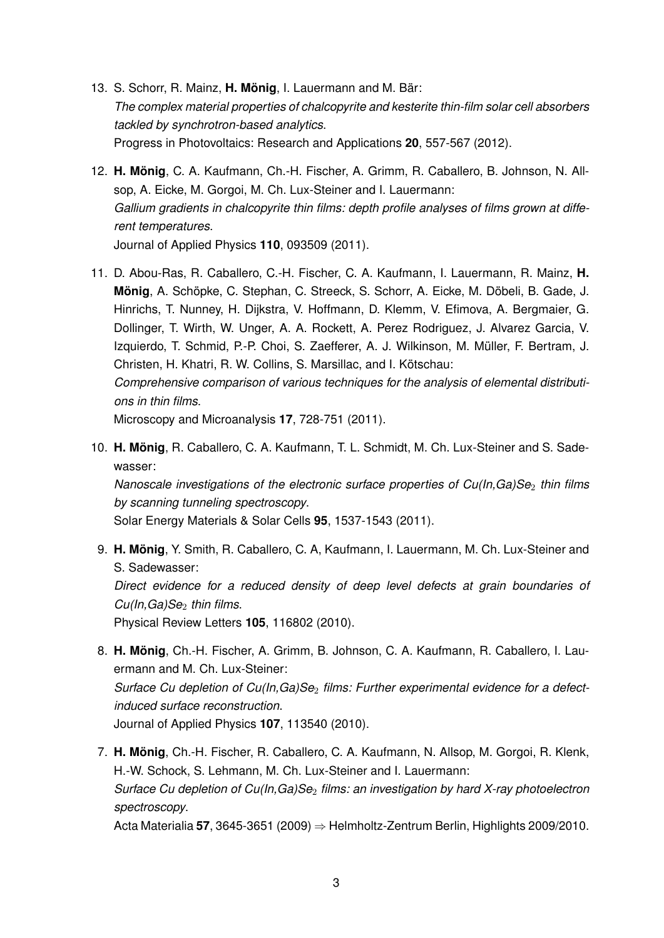- 13. S. Schorr, R. Mainz, **H. Mönig**, I. Lauermann and M. Bär: *The complex material properties of chalcopyrite and kesterite thin-film solar cell absorbers tackled by synchrotron-based analytics*. Progress in Photovoltaics: Research and Applications **20**, 557-567 (2012).
- 12. **H. Mönig**, C. A. Kaufmann, Ch.-H. Fischer, A. Grimm, R. Caballero, B. Johnson, N. Allsop, A. Eicke, M. Gorgoi, M. Ch. Lux-Steiner and I. Lauermann: *Gallium gradients in chalcopyrite thin films: depth profile analyses of films grown at different temperatures*. Journal of Applied Physics **110**, 093509 (2011).
- 11. D. Abou-Ras, R. Caballero, C.-H. Fischer, C. A. Kaufmann, I. Lauermann, R. Mainz, **H. Mönig**, A. Schöpke, C. Stephan, C. Streeck, S. Schorr, A. Eicke, M. Döbeli, B. Gade, J. Hinrichs, T. Nunney, H. Dijkstra, V. Hoffmann, D. Klemm, V. Efimova, A. Bergmaier, G. Dollinger, T. Wirth, W. Unger, A. A. Rockett, A. Perez Rodriguez, J. Alvarez Garcia, V. Izquierdo, T. Schmid, P.-P. Choi, S. Zaefferer, A. J. Wilkinson, M. Müller, F. Bertram, J. Christen, H. Khatri, R. W. Collins, S. Marsillac, and I. Kötschau: *Comprehensive comparison of various techniques for the analysis of elemental distributions in thin films*.

Microscopy and Microanalysis **17**, 728-751 (2011).

10. **H. Mönig**, R. Caballero, C. A. Kaufmann, T. L. Schmidt, M. Ch. Lux-Steiner and S. Sadewasser:

*Nanoscale investigations of the electronic surface properties of Cu(In,Ga)Se<sub>2</sub> <i>thin films by scanning tunneling spectroscopy*.

Solar Energy Materials & Solar Cells **95**, 1537-1543 (2011).

- 9. **H. Mönig**, Y. Smith, R. Caballero, C. A, Kaufmann, I. Lauermann, M. Ch. Lux-Steiner and S. Sadewasser: *Direct evidence for a reduced density of deep level defects at grain boundaries of Cu(In,Ga)Se*<sup>2</sup> *thin films*. Physical Review Letters **105**, 116802 (2010).
- 8. **H. Mönig**, Ch.-H. Fischer, A. Grimm, B. Johnson, C. A. Kaufmann, R. Caballero, I. Lauermann and M. Ch. Lux-Steiner: Surface Cu depletion of Cu(In, Ga)Se<sub>2</sub> films: Further experimental evidence for a defect*induced surface reconstruction*. Journal of Applied Physics **107**, 113540 (2010).
- 7. **H. Mönig**, Ch.-H. Fischer, R. Caballero, C. A. Kaufmann, N. Allsop, M. Gorgoi, R. Klenk, H.-W. Schock, S. Lehmann, M. Ch. Lux-Steiner and I. Lauermann: *Surface Cu depletion of Cu(In,Ga)Se*<sup>2</sup> *films: an investigation by hard X-ray photoelectron spectroscopy*.

Acta Materialia **57**, 3645-3651 (2009) ⇒ Helmholtz-Zentrum Berlin, Highlights 2009/2010.